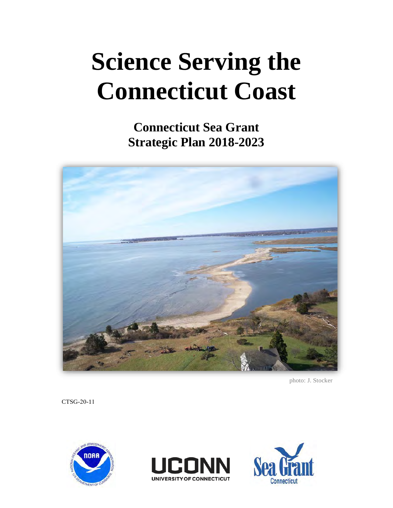# **Science Serving the Connecticut Coast**

**Connecticut Sea Grant Strategic Plan 2018-2023**



photo: J. Stocker

CTSG-20-11





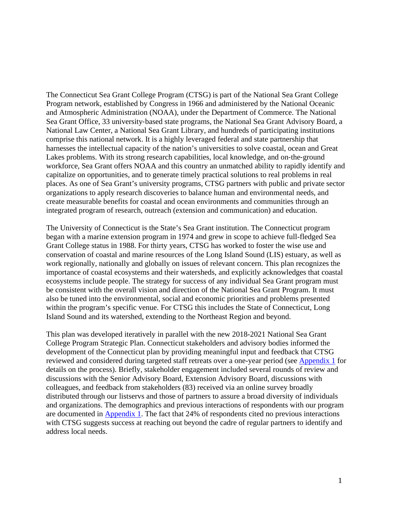The Connecticut Sea Grant College Program (CTSG) is part of the National Sea Grant College Program network, established by Congress in 1966 and administered by the National Oceanic and Atmospheric Administration (NOAA), under the Department of Commerce. The National Sea Grant Office, 33 university-based state programs, the National Sea Grant Advisory Board, a National Law Center, a National Sea Grant Library, and hundreds of participating institutions comprise this national network. It is a highly leveraged federal and state partnership that harnesses the intellectual capacity of the nation's universities to solve coastal, ocean and Great Lakes problems. With its strong research capabilities, local knowledge, and on-the-ground workforce, Sea Grant offers NOAA and this country an unmatched ability to rapidly identify and capitalize on opportunities, and to generate timely practical solutions to real problems in real places. As one of Sea Grant's university programs, CTSG partners with public and private sector organizations to apply research discoveries to balance human and environmental needs, and create measurable benefits for coastal and ocean environments and communities through an integrated program of research, outreach (extension and communication) and education.

The University of Connecticut is the State's Sea Grant institution. The Connecticut program began with a marine extension program in 1974 and grew in scope to achieve full-fledged Sea Grant College status in 1988. For thirty years, CTSG has worked to foster the wise use and conservation of coastal and marine resources of the Long Island Sound (LIS) estuary, as well as work regionally, nationally and globally on issues of relevant concern. This plan recognizes the importance of coastal ecosystems and their watersheds, and explicitly acknowledges that coastal ecosystems include people. The strategy for success of any individual Sea Grant program must be consistent with the overall vision and direction of the National Sea Grant Program. It must also be tuned into the environmental, social and economic priorities and problems presented within the program's specific venue. For CTSG this includes the State of Connecticut, Long Island Sound and its watershed, extending to the Northeast Region and beyond.

This plan was developed iteratively in parallel with the new 2018-2021 National Sea Grant College Program Strategic Plan. Connecticut stakeholders and advisory bodies informed the development of the Connecticut plan by providing meaningful input and feedback that CTSG reviewed and considered during targeted staff retreats over a one-year period (see Appendix 1 for details on the process). Briefly, stakeholder engagement included several rounds of review and discussions with the Senior Advisory Board, Extension Advisory Board, discussions with colleagues, and feedback from stakeholders (83) received via an online survey broadly distributed through our listservs and those of partners to assure a broad diversity of individuals and organizations. The demographics and previous interactions of respondents with our program are documented in Appendix 1. The fact that 24% of respondents cited no previous interactions with CTSG suggests success at reaching out beyond the cadre of regular partners to identify and address local needs.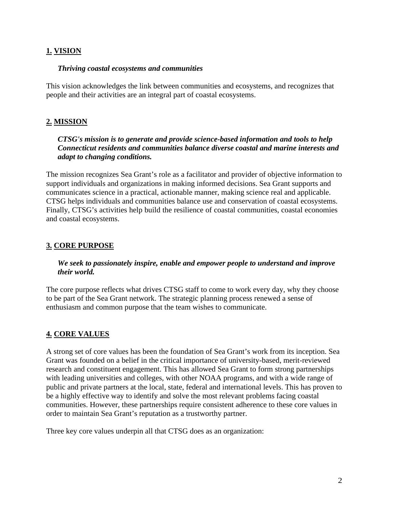# **1. VISION**

## *Thriving coastal ecosystems and communities*

This vision acknowledges the link between communities and ecosystems, and recognizes that people and their activities are an integral part of coastal ecosystems.

# **2. MISSION**

## *CTSG's mission is to generate and provide science-based information and tools to help Connecticut residents and communities balance diverse coastal and marine interests and adapt to changing conditions.*

The mission recognizes Sea Grant's role as a facilitator and provider of objective information to support individuals and organizations in making informed decisions. Sea Grant supports and communicates science in a practical, actionable manner, making science real and applicable. CTSG helps individuals and communities balance use and conservation of coastal ecosystems. Finally, CTSG's activities help build the resilience of coastal communities, coastal economies and coastal ecosystems.

# **3. CORE PURPOSE**

## *We seek to passionately inspire, enable and empower people to understand and improve their world.*

The core purpose reflects what drives CTSG staff to come to work every day, why they choose to be part of the Sea Grant network. The strategic planning process renewed a sense of enthusiasm and common purpose that the team wishes to communicate.

# **4. CORE VALUES**

A strong set of core values has been the foundation of Sea Grant's work from its inception. Sea Grant was founded on a belief in the critical importance of university-based, merit-reviewed research and constituent engagement. This has allowed Sea Grant to form strong partnerships with leading universities and colleges, with other NOAA programs, and with a wide range of public and private partners at the local, state, federal and international levels. This has proven to be a highly effective way to identify and solve the most relevant problems facing coastal communities. However, these partnerships require consistent adherence to these core values in order to maintain Sea Grant's reputation as a trustworthy partner.

Three key core values underpin all that CTSG does as an organization: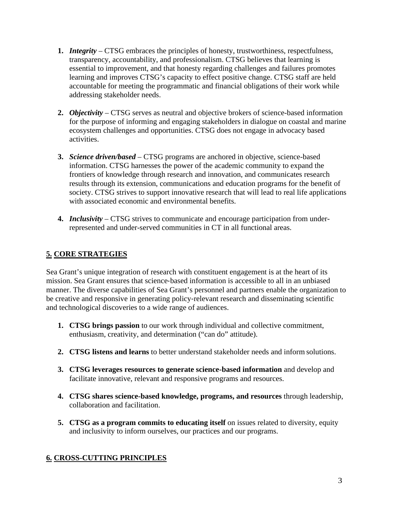- **1.** *Integrity*  CTSG embraces the principles of honesty, trustworthiness, respectfulness, transparency, accountability, and professionalism. CTSG believes that learning is essential to improvement, and that honesty regarding challenges and failures promotes learning and improves CTSG's capacity to effect positive change. CTSG staff are held accountable for meeting the programmatic and financial obligations of their work while addressing stakeholder needs.
- **2.** *Objectivity*  CTSG serves as neutral and objective brokers of science-based information for the purpose of informing and engaging stakeholders in dialogue on coastal and marine ecosystem challenges and opportunities. CTSG does not engage in advocacy based activities.
- **3.** *Science driven/based*  CTSG programs are anchored in objective, science-based information. CTSG harnesses the power of the academic community to expand the frontiers of knowledge through research and innovation, and communicates research results through its extension, communications and education programs for the benefit of society. CTSG strives to support innovative research that will lead to real life applications with associated economic and environmental benefits.
- **4.** *Inclusivity* CTSG strives to communicate and encourage participation from underrepresented and under-served communities in CT in all functional areas.

# **5. CORE STRATEGIES**

Sea Grant's unique integration of research with constituent engagement is at the heart of its mission. Sea Grant ensures that science-based information is accessible to all in an unbiased manner. The diverse capabilities of Sea Grant's personnel and partners enable the organization to be creative and responsive in generating policy-relevant research and disseminating scientific and technological discoveries to a wide range of audiences.

- **1. CTSG brings passion** to our work through individual and collective commitment, enthusiasm, creativity, and determination ("can do" attitude).
- **2. CTSG listens and learns** to better understand stakeholder needs and inform solutions.
- **3. CTSG leverages resources to generate science-based information** and develop and facilitate innovative, relevant and responsive programs and resources.
- **4. CTSG shares science-based knowledge, programs, and resources** through leadership, collaboration and facilitation.
- **5. CTSG as a program commits to educating itself** on issues related to diversity, equity and inclusivity to inform ourselves, our practices and our programs.

# **6. CROSS-CUTTING PRINCIPLES**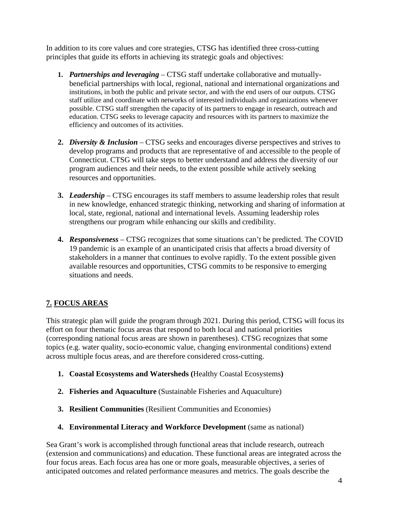In addition to its core values and core strategies, CTSG has identified three cross-cutting principles that guide its efforts in achieving its strategic goals and objectives:

- **1.** *Partnerships and leveraging* CTSG staff undertake collaborative and mutuallybeneficial partnerships with local, regional, national and international organizations and institutions, in both the public and private sector, and with the end users of our outputs. CTSG staff utilize and coordinate with networks of interested individuals and organizations whenever possible. CTSG staff strengthen the capacity of its partners to engage in research, outreach and education. CTSG seeks to leverage capacity and resources with its partners to maximize the efficiency and outcomes of its activities.
- **2.** *Diversity & Inclusion* CTSG seeks and encourages diverse perspectives and strives to develop programs and products that are representative of and accessible to the people of Connecticut. CTSG will take steps to better understand and address the diversity of our program audiences and their needs, to the extent possible while actively seeking resources and opportunities.
- **3.** *Leadership* CTSG encourages its staff members to assume leadership roles that result in new knowledge, enhanced strategic thinking, networking and sharing of information at local, state, regional, national and international levels. Assuming leadership roles strengthens our program while enhancing our skills and credibility.
- **4.** *Responsiveness* CTSG recognizes that some situations can't be predicted. The COVID 19 pandemic is an example of an unanticipated crisis that affects a broad diversity of stakeholders in a manner that continues to evolve rapidly. To the extent possible given available resources and opportunities, CTSG commits to be responsive to emerging situations and needs.

# **7. FOCUS AREAS**

This strategic plan will guide the program through 2021. During this period, CTSG will focus its effort on four thematic focus areas that respond to both local and national priorities (corresponding national focus areas are shown in parentheses). CTSG recognizes that some topics (e.g. water quality, socio-economic value, changing environmental conditions) extend across multiple focus areas, and are therefore considered cross-cutting.

- **1. Coastal Ecosystems and Watersheds (**Healthy Coastal Ecosystems**)**
- **2. Fisheries and Aquaculture** (Sustainable Fisheries and Aquaculture)
- **3. Resilient Communities** (Resilient Communities and Economies)
- **4. Environmental Literacy and Workforce Development** (same as national)

Sea Grant's work is accomplished through functional areas that include research, outreach (extension and communications) and education. These functional areas are integrated across the four focus areas. Each focus area has one or more goals, measurable objectives, a series of anticipated outcomes and related performance measures and metrics. The goals describe the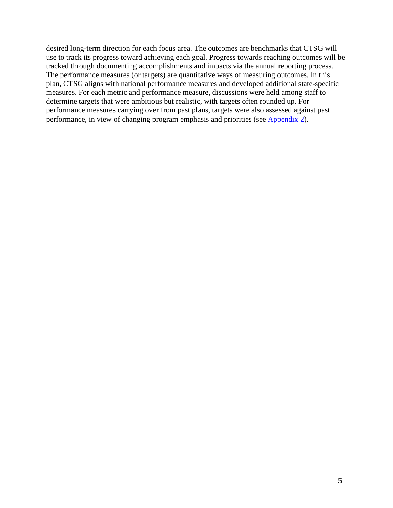desired long-term direction for each focus area. The outcomes are benchmarks that CTSG will use to track its progress toward achieving each goal. Progress towards reaching outcomes will be tracked through documenting accomplishments and impacts via the annual reporting process. The performance measures (or targets) are quantitative ways of measuring outcomes. In this plan, CTSG aligns with national performance measures and developed additional state-specific measures. For each metric and performance measure, discussions were held among staff to determine targets that were ambitious but realistic, with targets often rounded up. For performance measures carrying over from past plans, targets were also assessed against past performance, in view of changing program emphasis and priorities (see Appendix 2).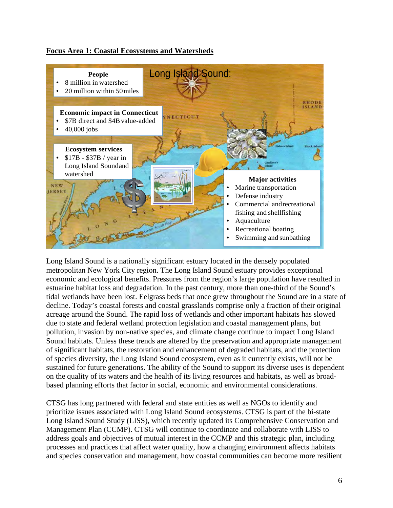## **Focus Area 1: Coastal Ecosystems and Watersheds**



Long Island Sound is a nationally significant estuary located in the densely populated metropolitan New York City region. The Long Island Sound estuary provides exceptional economic and ecological benefits. Pressures from the region's large population have resulted in estuarine habitat loss and degradation. In the past century, more than one-third of the Sound's tidal wetlands have been lost. Eelgrass beds that once grew throughout the Sound are in a state of decline. Today's coastal forests and coastal grasslands comprise only a fraction of their original acreage around the Sound. The rapid loss of wetlands and other important habitats has slowed due to state and federal wetland protection legislation and coastal management plans, but pollution, invasion by non-native species, and climate change continue to impact Long Island Sound habitats. Unless these trends are altered by the preservation and appropriate management of significant habitats, the restoration and enhancement of degraded habitats, and the protection of species diversity, the Long Island Sound ecosystem, even as it currently exists, will not be sustained for future generations. The ability of the Sound to support its diverse uses is dependent on the quality of its waters and the health of its living resources and habitats, as well as broadbased planning efforts that factor in social, economic and environmental considerations.

CTSG has long partnered with federal and state entities as well as NGOs to identify and prioritize issues associated with Long Island Sound ecosystems. CTSG is part of the bi-state Long Island Sound Study (LISS), which recently updated its Comprehensive Conservation and Management Plan (CCMP). CTSG will continue to coordinate and collaborate with LISS to address goals and objectives of mutual interest in the CCMP and this strategic plan, including processes and practices that affect water quality, how a changing environment affects habitats and species conservation and management, how coastal communities can become more resilient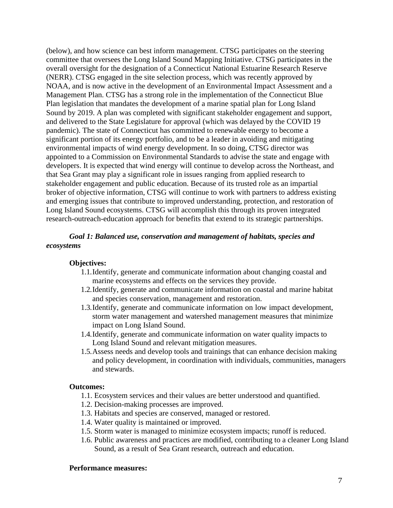(below), and how science can best inform management. CTSG participates on the steering committee that oversees the Long Island Sound Mapping Initiative. CTSG participates in the overall oversight for the designation of a Connecticut National Estuarine Research Reserve (NERR). CTSG engaged in the site selection process, which was recently approved by NOAA, and is now active in the development of an Environmental Impact Assessment and a Management Plan. CTSG has a strong role in the implementation of the Connecticut Blue Plan legislation that mandates the development of a marine spatial plan for Long Island Sound by 2019. A plan was completed with significant stakeholder engagement and support, and delivered to the State Legislature for approval (which was delayed by the COVID 19 pandemic). The state of Connecticut has committed to renewable energy to become a significant portion of its energy portfolio, and to be a leader in avoiding and mitigating environmental impacts of wind energy development. In so doing, CTSG director was appointed to a Commission on Environmental Standards to advise the state and engage with developers. It is expected that wind energy will continue to develop across the Northeast, and that Sea Grant may play a significant role in issues ranging from applied research to stakeholder engagement and public education. Because of its trusted role as an impartial broker of objective information, CTSG will continue to work with partners to address existing and emerging issues that contribute to improved understanding, protection, and restoration of Long Island Sound ecosystems. CTSG will accomplish this through its proven integrated research-outreach-education approach for benefits that extend to its strategic partnerships.

#### *Goal 1: Balanced use, conservation and management of habitats, species and ecosystems*

#### **Objectives:**

- 1.1.Identify, generate and communicate information about changing coastal and marine ecosystems and effects on the services they provide.
- 1.2.Identify, generate and communicate information on coastal and marine habitat and species conservation, management and restoration.
- 1.3.Identify, generate and communicate information on low impact development, storm water management and watershed management measures that minimize impact on Long Island Sound.
- 1.4.Identify, generate and communicate information on water quality impacts to Long Island Sound and relevant mitigation measures.
- 1.5.Assess needs and develop tools and trainings that can enhance decision making and policy development, in coordination with individuals, communities, managers and stewards.

#### **Outcomes:**

- 1.1. Ecosystem services and their values are better understood and quantified.
- 1.2. Decision-making processes are improved.
- 1.3. Habitats and species are conserved, managed or restored.
- 1.4. Water quality is maintained or improved.
- 1.5. Storm water is managed to minimize ecosystem impacts; runoff is reduced.
- 1.6. Public awareness and practices are modified, contributing to a cleaner Long Island Sound, as a result of Sea Grant research, outreach and education.

#### **Performance measures:**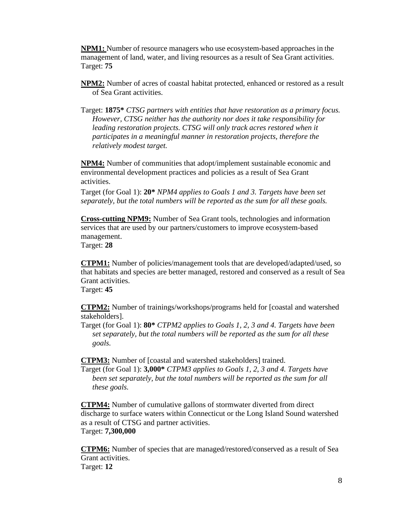**NPM1:** Number of resource managers who use ecosystem-based approaches in the management of land, water, and living resources as a result of Sea Grant activities. Target: **75** 

**NPM2:** Number of acres of coastal habitat protected, enhanced or restored as a result of Sea Grant activities.

Target: **1875\*** *CTSG partners with entities that have restoration as a primary focus. However, CTSG neither has the authority nor does it take responsibility for leading restoration projects. CTSG will only track acres restored when it participates in a meaningful manner in restoration projects, therefore the relatively modest target.*

**NPM4:** Number of communities that adopt/implement sustainable economic and environmental development practices and policies as a result of Sea Grant activities.

Target (for Goal 1): **20\*** *NPM4 applies to Goals 1 and 3. Targets have been set separately, but the total numbers will be reported as the sum for all these goals.* 

**Cross-cutting NPM9:** Number of Sea Grant tools, technologies and information services that are used by our partners/customers to improve ecosystem-based management.

Target: **28** 

**CTPM1:** Number of policies/management tools that are developed/adapted/used, so that habitats and species are better managed, restored and conserved as a result of Sea Grant activities.

Target: **45** 

**CTPM2:** Number of trainings/workshops/programs held for [coastal and watershed stakeholders].

Target (for Goal 1): **80\*** *CTPM2 applies to Goals 1, 2, 3 and 4. Targets have been set separately, but the total numbers will be reported as the sum for all these goals.* 

**CTPM3:** Number of [coastal and watershed stakeholders] trained.

Target (for Goal 1): **3,000\*** *CTPM3 applies to Goals 1, 2, 3 and 4. Targets have been set separately, but the total numbers will be reported as the sum for all these goals.* 

**CTPM4:** Number of cumulative gallons of stormwater diverted from direct discharge to surface waters within Connecticut or the Long Island Sound watershed as a result of CTSG and partner activities. Target: **7,300,000** 

**CTPM6:** Number of species that are managed/restored/conserved as a result of Sea Grant activities. Target: **12**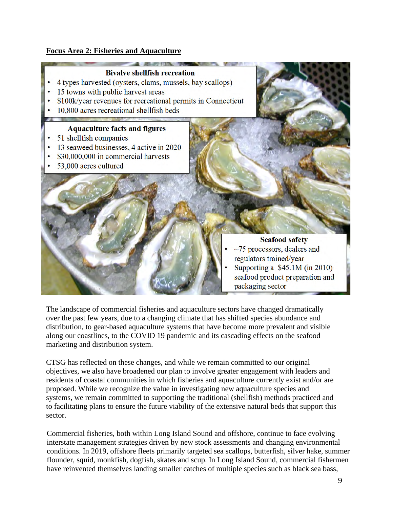## **Focus Area 2: Fisheries and Aquaculture**

## **Bivalve shellfish recreation**

- 4 types harvested (oysters, clams, mussels, bay scallops)
- 15 towns with public harvest areas
- \$100k/year revenues for recreational permits in Connecticut
- 10,800 acres recreational shellfish beds

## **Aquaculture facts and figures**

- 51 shellfish companies
- 13 seaweed businesses, 4 active in 2020
- \$30,000,000 in commercial harvests
- 53,000 acres cultured

#### **Seafood safety**

- $\sim$ 75 processors, dealers and regulators trained/year
- Supporting a  $$45.1M$  (in 2010) seafood product preparation and packaging sector

The landscape of commercial fisheries and aquaculture sectors have changed dramatically over the past few years, due to a changing climate that has shifted species abundance and distribution, to gear-based aquaculture systems that have become more prevalent and visible along our coastlines, to the COVID 19 pandemic and its cascading effects on the seafood marketing and distribution system.

CTSG has reflected on these changes, and while we remain committed to our original objectives, we also have broadened our plan to involve greater engagement with leaders and residents of coastal communities in which fisheries and aquaculture currently exist and/or are proposed. While we recognize the value in investigating new aquaculture species and systems, we remain committed to supporting the traditional (shellfish) methods practiced and to facilitating plans to ensure the future viability of the extensive natural beds that support this sector.

Commercial fisheries, both within Long Island Sound and offshore, continue to face evolving interstate management strategies driven by new stock assessments and changing environmental conditions. In 2019, offshore fleets primarily targeted sea scallops, butterfish, silver hake, summer flounder, squid, monkfish, dogfish, skates and scup. In Long Island Sound, commercial fishermen have reinvented themselves landing smaller catches of multiple species such as black sea bass,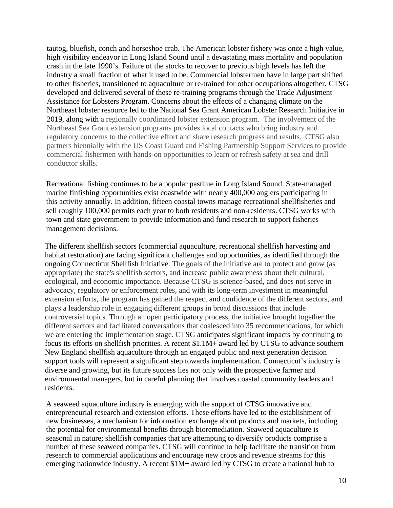tautog, bluefish, conch and horseshoe crab. The American lobster fishery was once a high value, high visibility endeavor in Long Island Sound until a devastating mass mortality and population crash in the late 1990's. Failure of the stocks to recover to previous high levels has left the industry a small fraction of what it used to be. Commercial lobstermen have in large part shifted to other fisheries, transitioned to aquaculture or re-trained for other occupations altogether. CTSG developed and delivered several of these re-training programs through the Trade Adjustment Assistance for Lobsters Program. Concerns about the effects of a changing climate on the Northeast lobster resource led to the National Sea Grant American Lobster Research Initiative in 2019, along with a regionally coordinated lobster extension program. The involvement of the Northeast Sea Grant extension programs provides local contacts who bring industry and regulatory concerns to the collective effort and share research progress and results. CTSG also partners biennially with the US Coast Guard and Fishing Partnership Support Services to provide commercial fishermen with hands-on opportunities to learn or refresh safety at sea and drill conductor skills.

Recreational fishing continues to be a popular pastime in Long Island Sound. State-managed marine finfishing opportunities exist coastwide with nearly 400,000 anglers participating in this activity annually. In addition, fifteen coastal towns manage recreational shellfisheries and sell roughly 100,000 permits each year to both residents and non-residents. CTSG works with town and state government to provide information and fund research to support fisheries management decisions.

The different shellfish sectors (commercial aquaculture, recreational shellfish harvesting and habitat restoration) are facing significant challenges and opportunities, as identified through the ongoing Connecticut Shellfish Initiative. The goals of the initiative are to protect and grow (as appropriate) the state's shellfish sectors, and increase public awareness about their cultural, ecological, and economic importance. Because CTSG is science-based, and does not serve in advocacy, regulatory or enforcement roles, and with its long-term investment in meaningful extension efforts, the program has gained the respect and confidence of the different sectors, and plays a leadership role in engaging different groups in broad discussions that include controversial topics. Through an open participatory process, the initiative brought together the different sectors and facilitated conversations that coalesced into 35 recommendations, for which we are entering the implementation stage. CTSG anticipates significant impacts by continuing to focus its efforts on shellfish priorities. A recent \$1.1M+ award led by CTSG to advance southern New England shellfish aquaculture through an engaged public and next generation decision support tools will represent a significant step towards implementation. Connecticut's industry is diverse and growing, but its future success lies not only with the prospective farmer and environmental managers, but in careful planning that involves coastal community leaders and residents.

A seaweed aquaculture industry is emerging with the support of CTSG innovative and entrepreneurial research and extension efforts. These efforts have led to the establishment of new businesses, a mechanism for information exchange about products and markets, including the potential for environmental benefits through bioremediation. Seaweed aquaculture is seasonal in nature; shellfish companies that are attempting to diversify products comprise a number of these seaweed companies. CTSG will continue to help facilitate the transition from research to commercial applications and encourage new crops and revenue streams for this emerging nationwide industry. A recent \$1M+ award led by CTSG to create a national hub to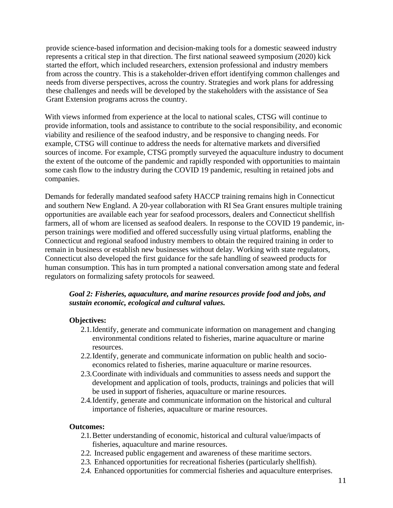provide science-based information and decision-making tools for a domestic seaweed industry represents a critical step in that direction. The first national seaweed symposium (2020) kick started the effort, which included researchers, extension professional and industry members from across the country. This is a stakeholder-driven effort identifying common challenges and needs from diverse perspectives, across the country. Strategies and work plans for addressing these challenges and needs will be developed by the stakeholders with the assistance of Sea Grant Extension programs across the country.

With views informed from experience at the local to national scales, CTSG will continue to provide information, tools and assistance to contribute to the social responsibility, and economic viability and resilience of the seafood industry, and be responsive to changing needs. For example, CTSG will continue to address the needs for alternative markets and diversified sources of income. For example, CTSG promptly surveyed the aquaculture industry to document the extent of the outcome of the pandemic and rapidly responded with opportunities to maintain some cash flow to the industry during the COVID 19 pandemic, resulting in retained jobs and companies.

Demands for federally mandated seafood safety HACCP training remains high in Connecticut and southern New England. A 20-year collaboration with RI Sea Grant ensures multiple training opportunities are available each year for seafood processors, dealers and Connecticut shellfish farmers, all of whom are licensed as seafood dealers. In response to the COVID 19 pandemic, inperson trainings were modified and offered successfully using virtual platforms, enabling the Connecticut and regional seafood industry members to obtain the required training in order to remain in business or establish new businesses without delay. Working with state regulators, Connecticut also developed the first guidance for the safe handling of seaweed products for human consumption. This has in turn prompted a national conversation among state and federal regulators on formalizing safety protocols for seaweed.

## *Goal 2: Fisheries, aquaculture, and marine resources provide food and jobs, and sustain economic, ecological and cultural values.*

#### **Objectives:**

- 2.1.Identify, generate and communicate information on management and changing environmental conditions related to fisheries, marine aquaculture or marine resources.
- 2.2.Identify, generate and communicate information on public health and socioeconomics related to fisheries, marine aquaculture or marine resources.
- 2.3.Coordinate with individuals and communities to assess needs and support the development and application of tools, products, trainings and policies that will be used in support of fisheries, aquaculture or marine resources.
- 2.4.Identify, generate and communicate information on the historical and cultural importance of fisheries, aquaculture or marine resources.

#### **Outcomes:**

- 2.1.Better understanding of economic, historical and cultural value/impacts of fisheries, aquaculture and marine resources.
- 2.2. Increased public engagement and awareness of these maritime sectors.
- 2.3. Enhanced opportunities for recreational fisheries (particularly shellfish).
- 2.4. Enhanced opportunities for commercial fisheries and aquaculture enterprises.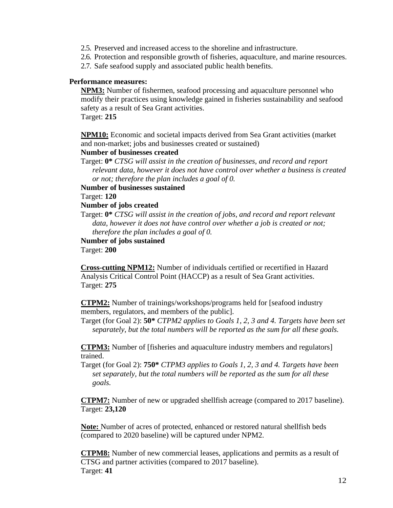- 2.5. Preserved and increased access to the shoreline and infrastructure.
- 2.6. Protection and responsible growth of fisheries, aquaculture, and marine resources.
- 2.7. Safe seafood supply and associated public health benefits.

#### **Performance measures:**

**NPM3:** Number of fishermen, seafood processing and aquaculture personnel who modify their practices using knowledge gained in fisheries sustainability and seafood safety as a result of Sea Grant activities. Target: **215** 

**NPM10:** Economic and societal impacts derived from Sea Grant activities (market and non-market; jobs and businesses created or sustained)

#### **Number of businesses created**

Target: **0\*** *CTSG will assist in the creation of businesses, and record and report relevant data, however it does not have control over whether a business is created or not; therefore the plan includes a goal of 0.* 

**Number of businesses sustained**

Target: **120** 

#### **Number of jobs created**

Target: **0\*** *CTSG will assist in the creation of jobs, and record and report relevant data, however it does not have control over whether a job is created or not; therefore the plan includes a goal of 0.* 

**Number of jobs sustained**

Target: **200** 

**Cross-cutting NPM12:** Number of individuals certified or recertified in Hazard Analysis Critical Control Point (HACCP) as a result of Sea Grant activities. Target: **275** 

**CTPM2:** Number of trainings/workshops/programs held for [seafood industry members, regulators, and members of the public].

Target (for Goal 2): **50\*** *CTPM2 applies to Goals 1, 2, 3 and 4. Targets have been set separately, but the total numbers will be reported as the sum for all these goals.* 

**CTPM3:** Number of [fisheries and aquaculture industry members and regulators] trained.

Target (for Goal 2): **750\*** *CTPM3 applies to Goals 1, 2, 3 and 4. Targets have been set separately, but the total numbers will be reported as the sum for all these goals.* 

**CTPM7:** Number of new or upgraded shellfish acreage (compared to 2017 baseline). Target: **23,120** 

**Note:** Number of acres of protected, enhanced or restored natural shellfish beds (compared to 2020 baseline) will be captured under NPM2.

**CTPM8:** Number of new commercial leases, applications and permits as a result of CTSG and partner activities (compared to 2017 baseline). Target: **41**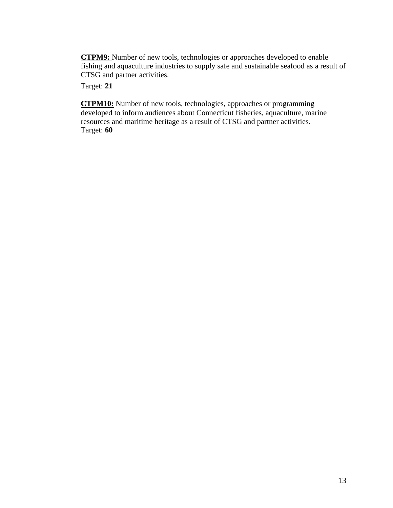**CTPM9:** Number of new tools, technologies or approaches developed to enable fishing and aquaculture industries to supply safe and sustainable seafood as a result of CTSG and partner activities.

Target: **21** 

**CTPM10:** Number of new tools, technologies, approaches or programming developed to inform audiences about Connecticut fisheries, aquaculture, marine resources and maritime heritage as a result of CTSG and partner activities. Target: **60**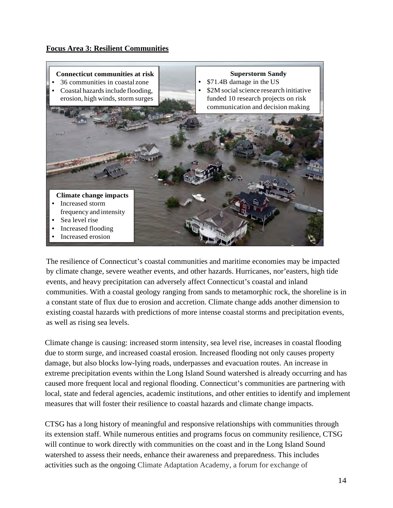## **Focus Area 3: Resilient Communities**



The resilience of Connecticut's coastal communities and maritime economies may be impacted by climate change, severe weather events, and other hazards. Hurricanes, nor'easters, high tide events, and heavy precipitation can adversely affect Connecticut's coastal and inland communities. With a coastal geology ranging from sands to metamorphic rock, the shoreline is in a constant state of flux due to erosion and accretion. Climate change adds another dimension to existing coastal hazards with predictions of more intense coastal storms and precipitation events, as well as rising sea levels.

Climate change is causing: increased storm intensity, sea level rise, increases in coastal flooding due to storm surge, and increased coastal erosion. Increased flooding not only causes property damage, but also blocks low-lying roads, underpasses and evacuation routes. An increase in extreme precipitation events within the Long Island Sound watershed is already occurring and has caused more frequent local and regional flooding. Connecticut's communities are partnering with local, state and federal agencies, academic institutions, and other entities to identify and implement measures that will foster their resilience to coastal hazards and climate change impacts.

CTSG has a long history of meaningful and responsive relationships with communities through its extension staff. While numerous entities and programs focus on community resilience, CTSG will continue to work directly with communities on the coast and in the Long Island Sound watershed to assess their needs, enhance their awareness and preparedness. This includes activities such as the ongoing Climate Adaptation Academy, a forum for exchange of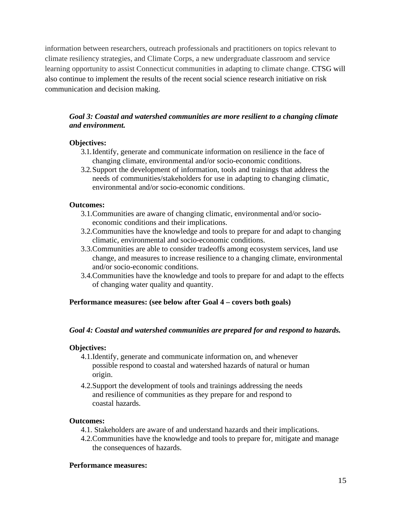information between researchers, outreach professionals and practitioners on topics relevant to climate resiliency strategies, and Climate Corps, a new undergraduate classroom and service learning opportunity to assist Connecticut communities in adapting to climate change. CTSG will also continue to implement the results of the recent social science research initiative on risk communication and decision making.

# *Goal 3: Coastal and watershed communities are more resilient to a changing climate and environment.*

## **Objectives:**

- 3.1.Identify, generate and communicate information on resilience in the face of changing climate, environmental and/or socio-economic conditions.
- 3.2.Support the development of information, tools and trainings that address the needs of communities/stakeholders for use in adapting to changing climatic, environmental and/or socio-economic conditions.

## **Outcomes:**

- 3.1.Communities are aware of changing climatic, environmental and/or socioeconomic conditions and their implications.
- 3.2.Communities have the knowledge and tools to prepare for and adapt to changing climatic, environmental and socio-economic conditions.
- 3.3.Communities are able to consider tradeoffs among ecosystem services, land use change, and measures to increase resilience to a changing climate, environmental and/or socio-economic conditions.
- 3.4.Communities have the knowledge and tools to prepare for and adapt to the effects of changing water quality and quantity.

## **Performance measures: (see below after Goal 4 – covers both goals)**

#### *Goal 4: Coastal and watershed communities are prepared for and respond to hazards.*

#### **Objectives:**

- 4.1.Identify, generate and communicate information on, and whenever possible respond to coastal and watershed hazards of natural or human origin.
- 4.2.Support the development of tools and trainings addressing the needs and resilience of communities as they prepare for and respond to coastal hazards.

#### **Outcomes:**

- 4.1. Stakeholders are aware of and understand hazards and their implications.
- 4.2.Communities have the knowledge and tools to prepare for, mitigate and manage the consequences of hazards.

#### **Performance measures:**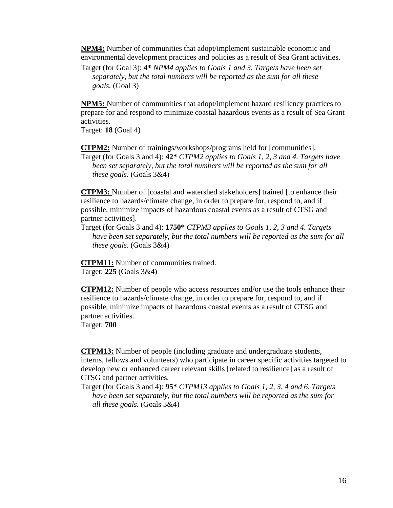**NPM4:** Number of communities that adopt/implement sustainable economic and environmental development practices and policies as a result of Sea Grant activities.

Target (for Goal 3): **4\*** *NPM4 applies to Goals 1 and 3. Targets have been set separately, but the total numbers will be reported as the sum for all these goals.* (Goal 3)

**NPM5:** Number of communities that adopt/implement hazard resiliency practices to prepare for and respond to minimize coastal hazardous events as a result of Sea Grant activities.

Target: **18** (Goal 4)

**CTPM2:** Number of trainings/workshops/programs held for [communities].

Target (for Goals 3 and 4): **42\*** *CTPM2 applies to Goals 1, 2, 3 and 4. Targets have been set separately, but the total numbers will be reported as the sum for all these goals.* (Goals 3&4)

**CTPM3:** Number of [coastal and watershed stakeholders] trained [to enhance their resilience to hazards/climate change, in order to prepare for, respond to, and if possible, minimize impacts of hazardous coastal events as a result of CTSG and partner activities].

Target (for Goals 3 and 4): **1750\*** *CTPM3 applies to Goals 1, 2, 3 and 4. Targets have been set separately, but the total numbers will be reported as the sum for all these goals.* (Goals 3&4)

**CTPM11:** Number of communities trained. Target: **225** (Goals 3&4)

**CTPM12:** Number of people who access resources and/or use the tools enhance their resilience to hazards/climate change, in order to prepare for, respond to, and if possible, minimize impacts of hazardous coastal events as a result of CTSG and partner activities.

Target: **700** 

**CTPM13:** Number of people (including graduate and undergraduate students, interns, fellows and volunteers) who participate in career specific activities targeted to develop new or enhanced career relevant skills [related to resilience] as a result of CTSG and partner activities.

Target (for Goals 3 and 4): **95\*** *CTPM13 applies to Goals 1, 2, 3, 4 and 6. Targets have been set separately, but the total numbers will be reported as the sum for all these goals.* (Goals 3&4)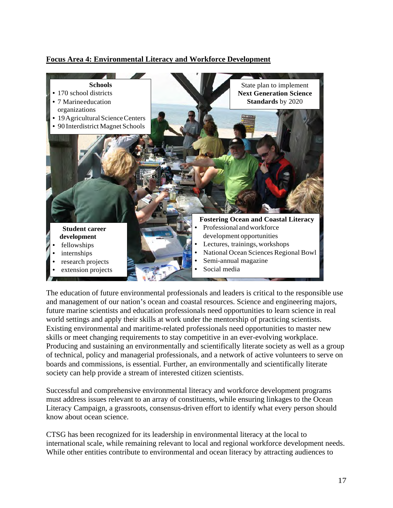## **Focus Area 4: Environmental Literacy and Workforce Development**



The education of future environmental professionals and leaders is critical to the responsible use and management of our nation's ocean and coastal resources. Science and engineering majors, future marine scientists and education professionals need opportunities to learn science in real world settings and apply their skills at work under the mentorship of practicing scientists. Existing environmental and maritime-related professionals need opportunities to master new skills or meet changing requirements to stay competitive in an ever-evolving workplace. Producing and sustaining an environmentally and scientifically literate society as well as a group of technical, policy and managerial professionals, and a network of active volunteers to serve on boards and commissions, is essential. Further, an environmentally and scientifically literate society can help provide a stream of interested citizen scientists.

Successful and comprehensive environmental literacy and workforce development programs must address issues relevant to an array of constituents, while ensuring linkages to the Ocean Literacy Campaign, a grassroots, consensus-driven effort to identify what every person should know about ocean science.

CTSG has been recognized for its leadership in environmental literacy at the local to international scale, while remaining relevant to local and regional workforce development needs. While other entities contribute to environmental and ocean literacy by attracting audiences to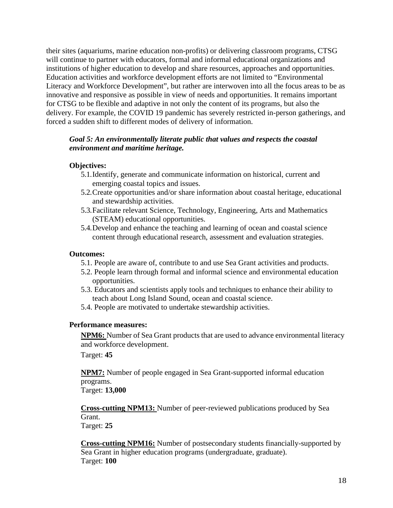their sites (aquariums, marine education non-profits) or delivering classroom programs, CTSG will continue to partner with educators, formal and informal educational organizations and institutions of higher education to develop and share resources, approaches and opportunities. Education activities and workforce development efforts are not limited to "Environmental Literacy and Workforce Development", but rather are interwoven into all the focus areas to be as innovative and responsive as possible in view of needs and opportunities. It remains important for CTSG to be flexible and adaptive in not only the content of its programs, but also the delivery. For example, the COVID 19 pandemic has severely restricted in-person gatherings, and forced a sudden shift to different modes of delivery of information.

## *Goal 5: An environmentally literate public that values and respects the coastal environment and maritime heritage.*

## **Objectives:**

- 5.1.Identify, generate and communicate information on historical, current and emerging coastal topics and issues.
- 5.2.Create opportunities and/or share information about coastal heritage, educational and stewardship activities.
- 5.3.Facilitate relevant Science, Technology, Engineering, Arts and Mathematics (STEAM) educational opportunities.
- 5.4.Develop and enhance the teaching and learning of ocean and coastal science content through educational research, assessment and evaluation strategies.

#### **Outcomes:**

- 5.1. People are aware of, contribute to and use Sea Grant activities and products.
- 5.2. People learn through formal and informal science and environmental education opportunities.
- 5.3. Educators and scientists apply tools and techniques to enhance their ability to teach about Long Island Sound, ocean and coastal science.
- 5.4. People are motivated to undertake stewardship activities.

#### **Performance measures:**

**NPM6:** Number of Sea Grant products that are used to advance environmental literacy and workforce development.

Target: **45** 

**NPM7:** Number of people engaged in Sea Grant-supported informal education programs.

Target: **13,000** 

**Cross-cutting NPM13:** Number of peer-reviewed publications produced by Sea Grant. Target: **25** 

**Cross-cutting NPM16:** Number of postsecondary students financially-supported by Sea Grant in higher education programs (undergraduate, graduate). Target: **100**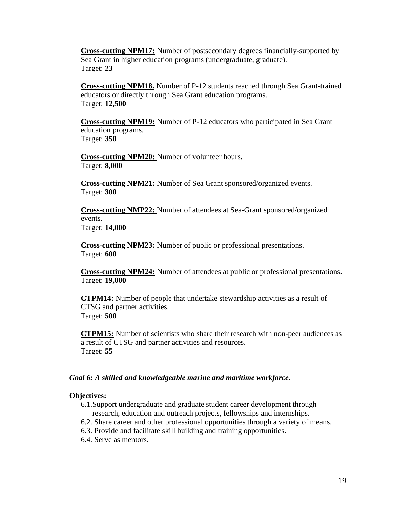**Cross-cutting NPM17:** Number of postsecondary degrees financially-supported by Sea Grant in higher education programs (undergraduate, graduate). Target: **23** 

**Cross-cutting NPM18.** Number of P-12 students reached through Sea Grant-trained educators or directly through Sea Grant education programs. Target: **12,500** 

**Cross-cutting NPM19:** Number of P-12 educators who participated in Sea Grant education programs. Target: **350** 

**Cross-cutting NPM20:** Number of volunteer hours. Target: **8,000** 

**Cross-cutting NPM21:** Number of Sea Grant sponsored/organized events. Target: **300** 

**Cross-cutting NMP22:** Number of attendees at Sea-Grant sponsored/organized events. Target: **14,000** 

**Cross-cutting NPM23:** Number of public or professional presentations. Target: **600** 

**Cross-cutting NPM24:** Number of attendees at public or professional presentations. Target: **19,000** 

**CTPM14:** Number of people that undertake stewardship activities as a result of CTSG and partner activities. Target: **500** 

**CTPM15:** Number of scientists who share their research with non-peer audiences as a result of CTSG and partner activities and resources. Target: **55** 

#### *Goal 6: A skilled and knowledgeable marine and maritime workforce.*

#### **Objectives:**

6.1.Support undergraduate and graduate student career development through research, education and outreach projects, fellowships and internships.

6.2. Share career and other professional opportunities through a variety of means.

- 6.3. Provide and facilitate skill building and training opportunities.
- 6.4. Serve as mentors.